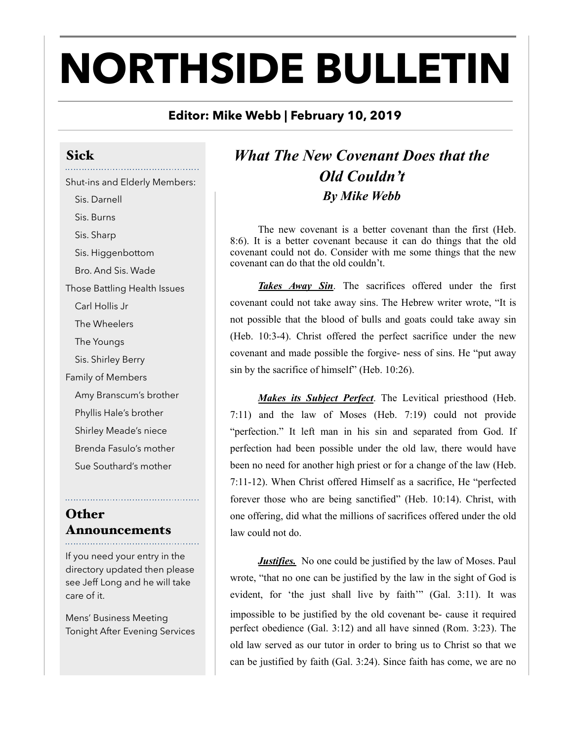# **NORTHSIDE BULLETIN**

#### **Editor: Mike Webb | February 10, 2019**

## Sick

Shut-ins and Elderly Members: Sis. Darnell Sis. Burns Sis. Sharp Sis. Higgenbottom Bro. And Sis. Wade Those Battling Health Issues Carl Hollis Jr The Wheelers The Youngs Sis. Shirley Berry Family of Members Amy Branscum's brother Phyllis Hale's brother Shirley Meade's niece Brenda Fasulo's mother Sue Southard's mother

#### **Other** Announcements

If you need your entry in the directory updated then please see Jeff Long and he will take care of it.

Mens' Business Meeting Tonight After Evening Services

### *What The New Covenant Does that the Old Couldn't By Mike Webb*

The new covenant is a better covenant than the first (Heb. 8:6). It is a better covenant because it can do things that the old covenant could not do. Consider with me some things that the new covenant can do that the old couldn't.

*Takes Away Sin*. The sacrifices offered under the first covenant could not take away sins. The Hebrew writer wrote, "It is not possible that the blood of bulls and goats could take away sin (Heb. 10:3-4). Christ offered the perfect sacrifice under the new covenant and made possible the forgive- ness of sins. He "put away sin by the sacrifice of himself" (Heb. 10:26).

*Makes its Subject Perfect*. The Levitical priesthood (Heb. 7:11) and the law of Moses (Heb. 7:19) could not provide "perfection." It left man in his sin and separated from God. If perfection had been possible under the old law, there would have been no need for another high priest or for a change of the law (Heb. 7:11-12). When Christ offered Himself as a sacrifice, He "perfected forever those who are being sanctified" (Heb. 10:14). Christ, with one offering, did what the millions of sacrifices offered under the old law could not do.

*Justifies.* No one could be justified by the law of Moses. Paul wrote, "that no one can be justified by the law in the sight of God is evident, for 'the just shall live by faith'" (Gal. 3:11). It was impossible to be justified by the old covenant be- cause it required perfect obedience (Gal. 3:12) and all have sinned (Rom. 3:23). The old law served as our tutor in order to bring us to Christ so that we can be justified by faith (Gal. 3:24). Since faith has come, we are no